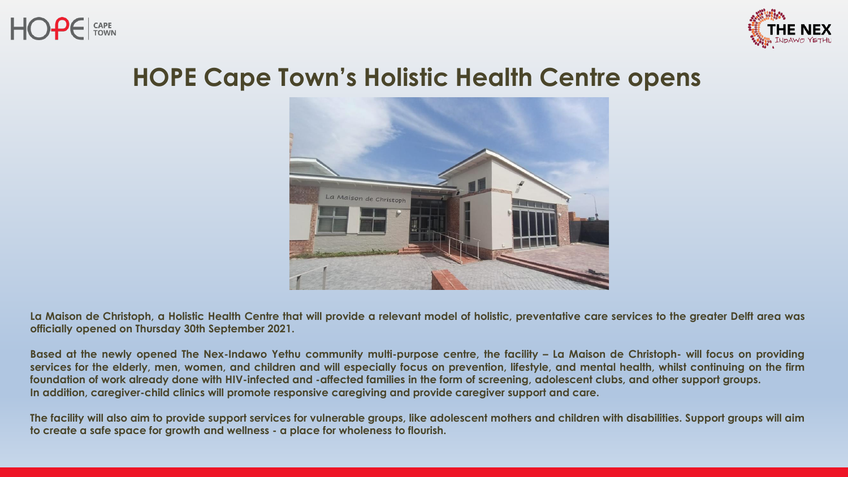



## **HOPE Cape Town's Holistic Health Centre opens**



La Maison de Christoph, a Holistic Health Centre that will provide a relevant model of holistic, preventative care services to the greater Delft area was **officially opened on Thursday 30th September 2021.**

Based at the newly opened The Nex-Indawo Yethu community multi-purpose centre, the facility - La Maison de Christoph- will focus on providing services for the elderly, men, women, and children and will especially focus on prevention, lifestyle, and mental health, whilst continuing on the firm foundation of work already done with HIV-infected and -affected families in the form of screening, adolescent clubs, and other support groups. **In addition, caregiver-child clinics will promote responsive caregiving and provide caregiver support and care.**

The facility will also aim to provide support services for vulnerable groups, like adolescent mothers and children with disabilities. Support groups will aim **to create a safe space for growth and wellness - a place for wholeness to flourish.**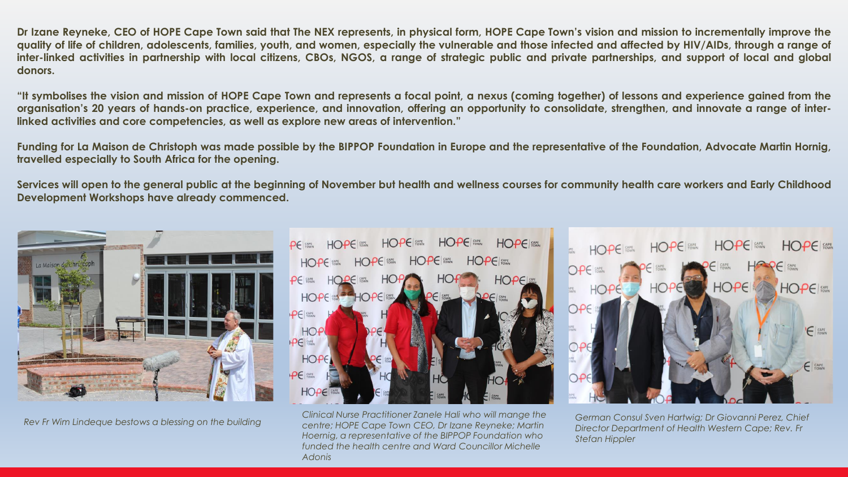Dr Izane Reyneke, CEO of HOPE Cape Town said that The NEX represents, in physical form, HOPE Cape Town's vision and mission to incrementally improve the quality of life of children, adolescents, families, youth, and women, especially the vulnerable and those infected and affected by HIV/AIDs, through a range of inter-linked activities in partnership with local citizens, CBOs, NGOS, a range of strategic public and private partnerships, and support of local and global **donors.**

"It symbolises the vision and mission of HOPE Cape Town and represents a focal point, a nexus (coming together) of lessons and experience gained from the organisation's 20 years of hands-on practice, experience, and innovation, offering an opportunity to consolidate, strengthen, and innovate a range of inter**linked activities and core competencies, as well as explore new areas of intervention."**

Funding for La Maison de Christoph was made possible by the BIPPOP Foundation in Europe and the representative of the Foundation, Advocate Martin Hornig, **travelled especially to South Africa for the opening.**

Services will open to the general public at the beginning of November but health and wellness courses for community health care workers and Early Childhood **Development Workshops have already commenced.**



*Rev Fr Wim Lindeque bestows a blessing on the building*



*Clinical Nurse Practitioner Zanele Hali who will mange the centre; HOPE Cape Town CEO, Dr Izane Reyneke; Martin Hoernig, a representative of the BIPPOP Foundation who funded the health centre and Ward Councillor Michelle Adonis*



*German Consul Sven Hartwig; Dr Giovanni Perez, Chief Director Department of Health Western Cape; Rev. Fr Stefan Hippler*